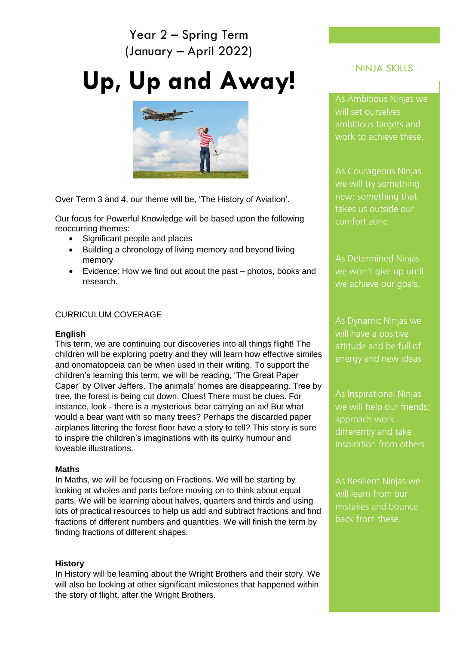# Year 2 – Spring Term (January – April 2022)

# **Up, Up and Away!**



Over Term 3 and 4, our theme will be, 'The History of Aviation'.

Our focus for Powerful Knowledge will be based upon the following reoccurring themes:

- Significant people and places
- Building a chronology of living memory and beyond living memory
- Evidence: How we find out about the past photos, books and research.

# CURRICULUM COVERAGE

#### **English**

This term, we are continuing our discoveries into all things flight! The children will be exploring poetry and they will learn how effective similes and onomatopoeia can be when used in their writing. To support the children's learning this term, we will be reading, 'The Great Paper Caper' by Oliver Jeffers. The animals' homes are disappearing. Tree by tree, the forest is being cut down. Clues! There must be clues. For instance, look - there is a mysterious bear carrying an ax! But what would a bear want with so many trees? Perhaps the discarded paper airplanes littering the forest floor have a story to tell? This story is sure to inspire the children's imaginations with its quirky humour and loveable illustrations.

#### **Maths**

In Maths, we will be focusing on Fractions. We will be starting by looking at wholes and parts before moving on to think about equal parts. We will be learning about halves, quarters and thirds and using lots of practical resources to help us add and subtract fractions and find fractions of different numbers and quantities. We will finish the term by finding fractions of different shapes.

#### **History**

In History will be learning about the Wright Brothers and their story. We will also be looking at other significant milestones that happened within the story of flight, after the Wright Brothers.

# NINJA SKILLS

As Ambitious Ninjas we will set ourselves ambitious targets and work to achieve these.

As Courageous Ninjas we will try something takes us outside our comfort zone.

As Determined Ninjas we achieve our goals.

will have a positive attitude and be full of energy and new ideas

As Inspirational Ninjas we will help our friends; approach work differently and take inspiration from others

As Resilient Ninjas we will learn from our mistakes and bounce back from these.